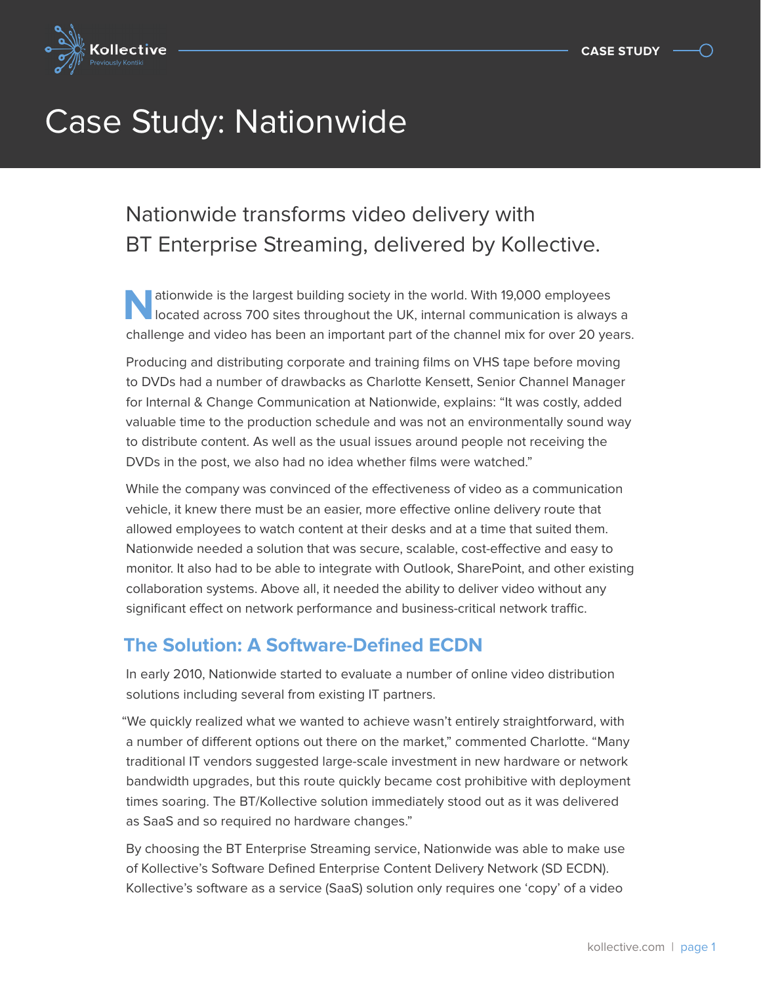

# Case Study: Nationwide

# Nationwide transforms video delivery with BT Enterprise Streaming, delivered by Kollective.

**Nationwide is the largest building society in the world. With 19,000 employees** located across 700 sites throughout the UK, internal communication is always a challenge and video has been an important part of the channel mix for over 20 years.

Producing and distributing corporate and training films on VHS tape before moving to DVDs had a number of drawbacks as Charlotte Kensett, Senior Channel Manager for Internal & Change Communication at Nationwide, explains: "It was costly, added valuable time to the production schedule and was not an environmentally sound way to distribute content. As well as the usual issues around people not receiving the DVDs in the post, we also had no idea whether films were watched."

While the company was convinced of the effectiveness of video as a communication vehicle, it knew there must be an easier, more effective online delivery route that allowed employees to watch content at their desks and at a time that suited them. Nationwide needed a solution that was secure, scalable, cost-effective and easy to monitor. It also had to be able to integrate with Outlook, SharePoint, and other existing collaboration systems. Above all, it needed the ability to deliver video without any significant effect on network performance and business-critical network traffic.

## **The Solution: A Software-Defined ECDN**

In early 2010, Nationwide started to evaluate a number of online video distribution solutions including several from existing IT partners.

"We quickly realized what we wanted to achieve wasn't entirely straightforward, with a number of different options out there on the market," commented Charlotte. "Many traditional IT vendors suggested large-scale investment in new hardware or network bandwidth upgrades, but this route quickly became cost prohibitive with deployment times soaring. The BT/Kollective solution immediately stood out as it was delivered as SaaS and so required no hardware changes."

By choosing the BT Enterprise Streaming service, Nationwide was able to make use of Kollective's Software Defined Enterprise Content Delivery Network (SD ECDN). Kollective's software as a service (SaaS) solution only requires one 'copy' of a video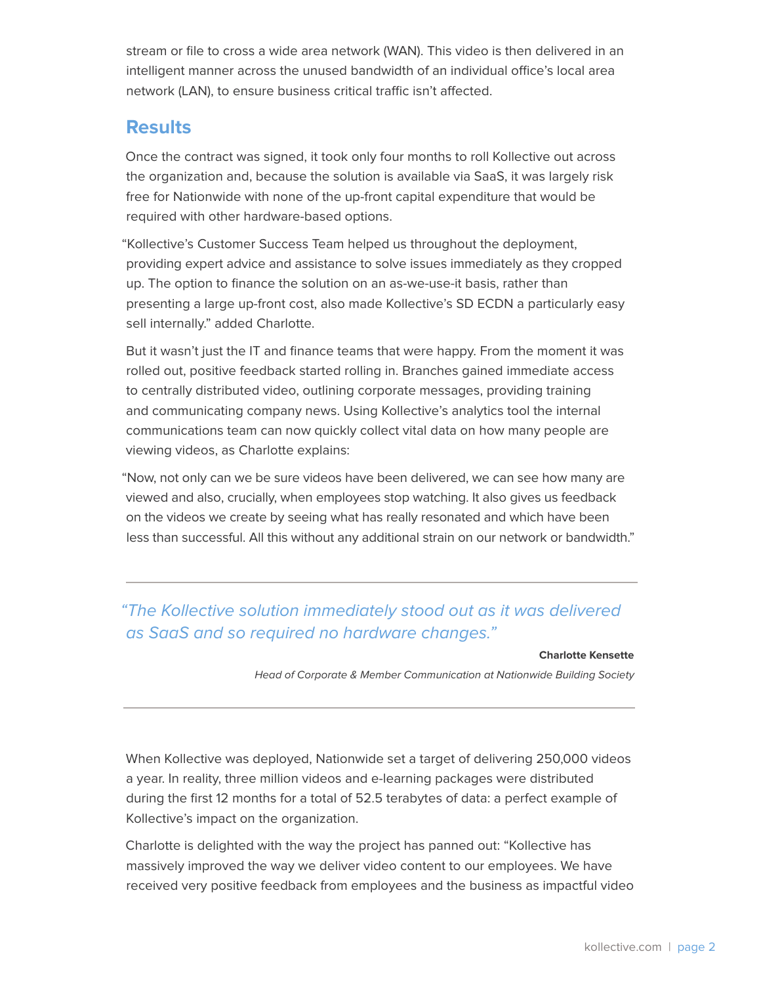stream or file to cross a wide area network (WAN). This video is then delivered in an intelligent manner across the unused bandwidth of an individual office's local area network (LAN), to ensure business critical traffic isn't affected.

#### **Results**

Once the contract was signed, it took only four months to roll Kollective out across the organization and, because the solution is available via SaaS, it was largely risk free for Nationwide with none of the up-front capital expenditure that would be required with other hardware-based options.

"Kollective's Customer Success Team helped us throughout the deployment, providing expert advice and assistance to solve issues immediately as they cropped up. The option to finance the solution on an as-we-use-it basis, rather than presenting a large up-front cost, also made Kollective's SD ECDN a particularly easy sell internally." added Charlotte.

But it wasn't just the IT and finance teams that were happy. From the moment it was rolled out, positive feedback started rolling in. Branches gained immediate access to centrally distributed video, outlining corporate messages, providing training and communicating company news. Using Kollective's analytics tool the internal communications team can now quickly collect vital data on how many people are viewing videos, as Charlotte explains:

"Now, not only can we be sure videos have been delivered, we can see how many are viewed and also, crucially, when employees stop watching. It also gives us feedback on the videos we create by seeing what has really resonated and which have been less than successful. All this without any additional strain on our network or bandwidth."

#### "The Kollective solution immediately stood out as it was delivered as SaaS and so required no hardware changes."

#### **Charlotte Kensette**

Head of Corporate & Member Communication at Nationwide Building Society

When Kollective was deployed, Nationwide set a target of delivering 250,000 videos a year. In reality, three million videos and e-learning packages were distributed during the first 12 months for a total of 52.5 terabytes of data: a perfect example of Kollective's impact on the organization.

Charlotte is delighted with the way the project has panned out: "Kollective has massively improved the way we deliver video content to our employees. We have received very positive feedback from employees and the business as impactful video